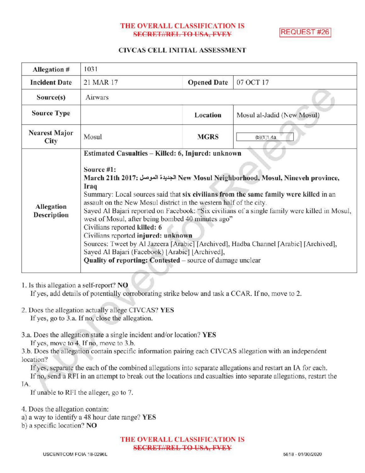## THE OVERALL CLASSIFICATION IS **SECRET//REL TO USA, PVINY**

**REQUEST #26** 

## CIVCAS CELL INITIAL ASSESSMENT

| Allegation #                     | 1031                                                                                                                                                                                                                                                                                                                                                                                                                                                                                                                                                                                                                                                                                                                                                              |                    |                            |
|----------------------------------|-------------------------------------------------------------------------------------------------------------------------------------------------------------------------------------------------------------------------------------------------------------------------------------------------------------------------------------------------------------------------------------------------------------------------------------------------------------------------------------------------------------------------------------------------------------------------------------------------------------------------------------------------------------------------------------------------------------------------------------------------------------------|--------------------|----------------------------|
| <b>Incident Date</b>             | 21 MAR 17                                                                                                                                                                                                                                                                                                                                                                                                                                                                                                                                                                                                                                                                                                                                                         | <b>Opened Date</b> | 07 OCT 17                  |
| Source(s)                        | Airwars                                                                                                                                                                                                                                                                                                                                                                                                                                                                                                                                                                                                                                                                                                                                                           |                    |                            |
| <b>Source Type</b>               |                                                                                                                                                                                                                                                                                                                                                                                                                                                                                                                                                                                                                                                                                                                                                                   | Location           | Mosul al-Jadid (New Mosul) |
| <b>Nearest Major</b><br>City     | Mosul                                                                                                                                                                                                                                                                                                                                                                                                                                                                                                                                                                                                                                                                                                                                                             | <b>MGRS</b>        | (b)(1)1.4a                 |
| Allegation<br><b>Description</b> | Estimated Casualties - Killed: 6, Injured: unknown<br>Source #1:<br>March 21th 2017: الجديدة الموصل New Mosul Neighborhood, Mosul, Nineveh province,<br>Iraq<br>Summary: Local sources said that six civilians from the same family were killed in an<br>assault on the New Mosul district in the western half of the city.<br>Sayed Al Bajari reported on Facebook: "Six civilians of a single family were killed in Mosul,<br>west of Mosul, after being bombed 40 minutes ago"<br>Civilians reported killed: 6<br>Civilians reported injured: unknown<br>Sources: Tweet by Al Jazeera [Arabic] [Archived], Hadba Channel [Arabic] [Archived],<br>Sayed Al Bajari (Facebook) [Arabic] [Archived],<br>Quality of reporting: Contested – source of damage unclear |                    |                            |

### 1. Is this allegation a self-report? NO

If yes, add details of potentially corroborating strike below and task a CCAR. If no, move to 2.

- 2. Does the allegation actually allege CIVCAS? YES If yes, go to 3.a. If no, close the allegation.
- 3.a. Does the allegation state a single incident and/or location? YES

If yes, move to 4. If no, move to 3.b.

3.b. Does the allegation contain specific information pairing each CIVCAS allegation with an independent location?

Ifyes, separate the each of the combined allegations into separate allegations and restart an IA for each.

Ifno, send <sup>a</sup> RFI in an attempt to break out the locations and casualties into separate allegations, restart the IA

If unable to RFI the alleger, go to 7.

4. Does the allegation contain:

a) a way to identify a 48 hour date range? YES

) <sup>a</sup> specific location? NO

THE OVERALL CLASSIFICATION IS SECRET//REL TO USA, FVEY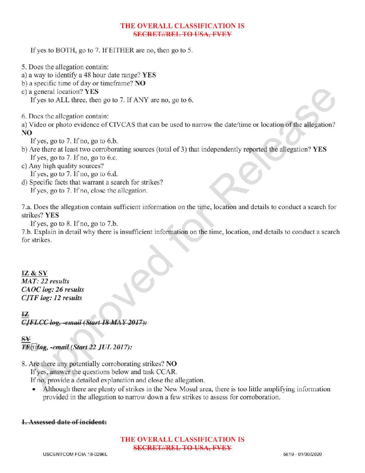## THE OVERALL CLASSIFICATION IS **SECRET//REL TO USA, FVFY**

If yes to BOTH, go to 7. If EITHER are no, then go to 5.

- 5. Does the allegation contain:
- a) <sup>a</sup> way to identify a 48 hour date range? YES
- b) a specific time of day or timeframe?  $NO$
- c) a general location? YES

If yes to ALL three, then go to 7. If ANY are no, go to 6.

6. Does the allegation contain:

a) Video or photo evidence of CIVCAS that can be used to narrow the date/ time or location of the allegation? NO

If yes, go to  $7.$  If no, go to  $6.b$ .

- b) Are there at least two corroborating sources (total of 3) that independently reported the allegation? YES If yes, go to  $7.$  If no, go to 6.c.
- c) Any high quality sources?

If yes, go to  $7.$  If no, go to  $6.d.$ 

d) Specific facts that warrant a search for strikes? If yes, go to 7. If no, close the allegation.

7.a. Does the allegation contain sufficient information on the time, location and details to conduct a search for strikes? YES

If yes, go to 8. If no, go to 7.b.

7.b. Explain in detail why there is insufficient information on the time, location, and details to conduct <sup>a</sup> search for strikes.

# IZ& SY

MAT: 22 results CAOC log: 26 results CJTF log: 12 results

CJFLCC log, -email (Start 18 MAY 2017):

S  $T\rightarrow$   $T\rightarrow$   $T\rightarrow$   $T\rightarrow$   $T\rightarrow$   $T\rightarrow$   $T\rightarrow$   $T\rightarrow$   $T\rightarrow$   $T\rightarrow$   $T\rightarrow$   $T\rightarrow$   $T\rightarrow$   $T\rightarrow$   $T\rightarrow$   $T\rightarrow$   $T\rightarrow$   $T\rightarrow$   $T\rightarrow$   $T\rightarrow$   $T\rightarrow$   $T\rightarrow$   $T\rightarrow$   $T\rightarrow$   $T\rightarrow$   $T\rightarrow$   $T\rightarrow$   $T\rightarrow$   $T\rightarrow$   $T\rightarrow$   $T\rightarrow$   $T\rightarrow$   $T\rightarrow$   $T\rightarrow$   $T\rightarrow$   $T\rightarrow$   $T\rightarrow$ 

8. Are there any potentially corroborating strikes? NO

If yes, answer the questions below and task CCAR.

Ifno, provide <sup>a</sup> detailed explanation and close the allegation.

Although there are plenty of strikes in the New Mosul area, there is too little amplifying information  $\bullet$ provided in the allegation to narrow down <sup>a</sup> few strikes to assess for corroboration .

# 1. Assessed date of incident:

## THE OVERALL CLASSIFICATION IS **SECRET//REL TO USA, FVEY**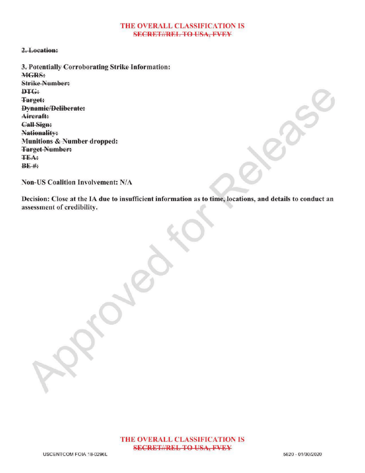#### THE OVERALL CLASSIFICATION IS **SECRET//REL TO USA, FVEY**

### 2. Location:

3.Potentially Corroborating Strike Information: MGRS: Strike Number: DTG: Target: **Dynamic/Deliberate:** Aircraft: Call Sign: Nationality: Munitions & Number dropped: Target Number: **TEA:**  $BF$ #:

Non-US Coalition Involvement: N/A

Decision: Close at the IA due to insufficient information as to time, locations, and details to conduct an assessment of credibility.

Approved

Release